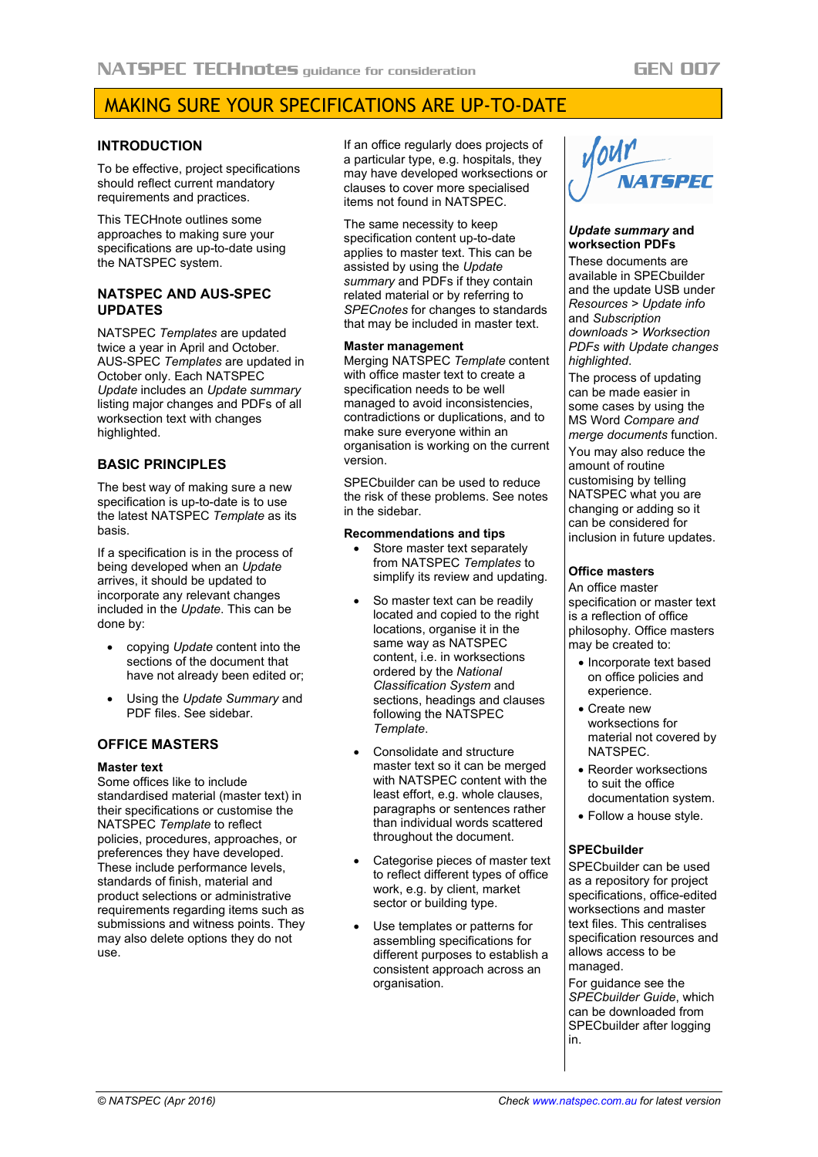# MAKING SURE YOUR SPECIFICATIONS ARE UP-TO-DATE

## **INTRODUCTION**

To be effective, project specifications should reflect current mandatory requirements and practices.

This TECHnote outlines some approaches to making sure your specifications are up-to-date using the NATSPEC system.

## **NATSPEC AND AUS-SPEC UPDATES**

NATSPEC *Templates* are updated twice a year in April and October. AUS-SPEC *Templates* are updated in October only. Each NATSPEC *Update* includes an *Update summary* listing major changes and PDFs of all worksection text with changes highlighted.

## **BASIC PRINCIPLES**

The best way of making sure a new specification is up-to-date is to use the latest NATSPEC *Template* as its basis.

If a specification is in the process of being developed when an *Update* arrives, it should be updated to incorporate any relevant changes included in the *Update*. This can be done by:

- copying *Update* content into the sections of the document that have not already been edited or;
- Using the *Update Summary* and PDF files. See sidebar.

## **OFFICE MASTERS**

## **Master text**

Some offices like to include standardised material (master text) in their specifications or customise the NATSPEC *Template* to reflect policies, procedures, approaches, or preferences they have developed. These include performance levels, standards of finish, material and product selections or administrative requirements regarding items such as submissions and witness points. They may also delete options they do not use.

If an office regularly does projects of a particular type, e.g. hospitals, they may have developed worksections or clauses to cover more specialised items not found in NATSPEC.

The same necessity to keep specification content up-to-date applies to master text. This can be assisted by using the *Update summary* and PDFs if they contain related material or by referring to *SPECnotes* for changes to standards that may be included in master text.

#### **Master management**

Merging NATSPEC *Template* content with office master text to create a specification needs to be well managed to avoid inconsistencies, contradictions or duplications, and to make sure everyone within an organisation is working on the current version.

SPECbuilder can be used to reduce the risk of these problems. See notes in the sidebar.

#### **Recommendations and tips**

- Store master text separately from NATSPEC *Templates* to simplify its review and updating.
- So master text can be readily located and copied to the right locations, organise it in the same way as NATSPEC content, i.e. in worksections ordered by the *National Classification System* and sections, headings and clauses following the NATSPEC *Template*.
- Consolidate and structure master text so it can be merged with NATSPEC content with the least effort, e.g. whole clauses, paragraphs or sentences rather than individual words scattered throughout the document.
- Categorise pieces of master text to reflect different types of office work, e.g. by client, market sector or building type.
- Use templates or patterns for assembling specifications for different purposes to establish a consistent approach across an organisation.



## *Update summary* **and worksection PDFs**

These documents are available in SPECbuilder and the update USB under *Resources > Update info* and *Subscription downloads* > *Worksection PDFs with Update changes highlighted*.

The process of updating can be made easier in some cases by using the MS Word *Compare and merge documents* function.

You may also reduce the amount of routine customising by telling NATSPEC what you are changing or adding so it can be considered for inclusion in future updates.

## **Office masters**

An office master specification or master text is a reflection of office philosophy. Office masters may be created to:

- Incorporate text based on office policies and experience.
- Create new worksections for material not covered by NATSPEC.
- Reorder worksections to suit the office documentation system.
- Follow a house style.

#### **SPECbuilder**

SPECbuilder can be used as a repository for project specifications, office-edited worksections and master text files. This centralises specification resources and allows access to be managed.

For guidance see the *SPECbuilder Guide*, which can be downloaded from SPECbuilder after logging in.